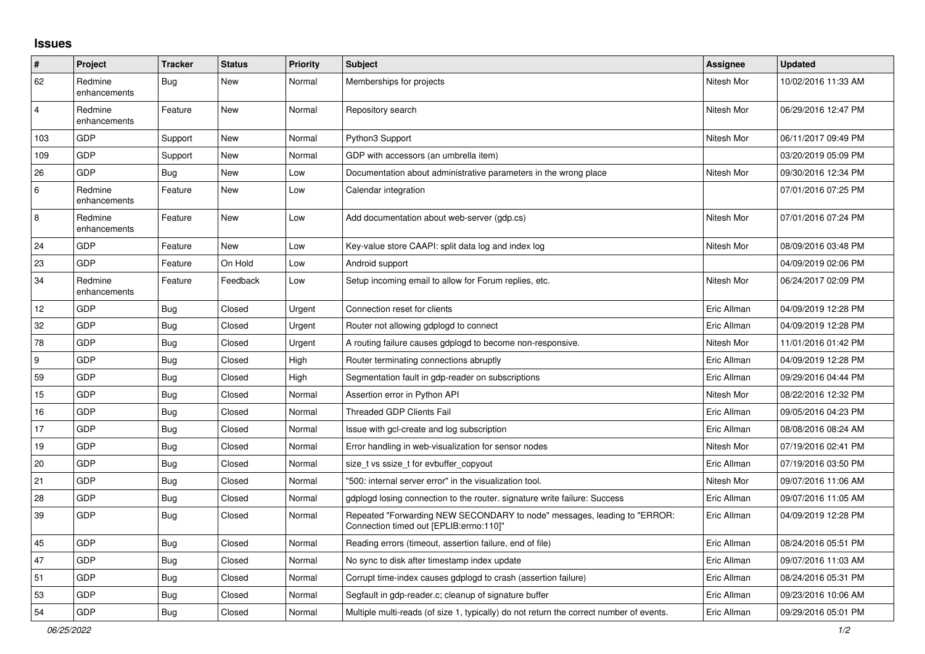## **Issues**

| $\vert$ #      | Project                 | <b>Tracker</b> | <b>Status</b> | <b>Priority</b> | <b>Subject</b>                                                                                                      | <b>Assignee</b> | Updated             |
|----------------|-------------------------|----------------|---------------|-----------------|---------------------------------------------------------------------------------------------------------------------|-----------------|---------------------|
| 62             | Redmine<br>enhancements | Bug            | New           | Normal          | Memberships for projects                                                                                            | Nitesh Mor      | 10/02/2016 11:33 AM |
| $\overline{4}$ | Redmine<br>enhancements | Feature        | New           | Normal          | Repository search                                                                                                   | Nitesh Mor      | 06/29/2016 12:47 PM |
| 103            | GDP                     | Support        | New           | Normal          | Python3 Support                                                                                                     | Nitesh Mor      | 06/11/2017 09:49 PM |
| 109            | GDP                     | Support        | New           | Normal          | GDP with accessors (an umbrella item)                                                                               |                 | 03/20/2019 05:09 PM |
| 26             | GDP                     | Bug            | New           | Low             | Documentation about administrative parameters in the wrong place                                                    | Nitesh Mor      | 09/30/2016 12:34 PM |
| 6              | Redmine<br>enhancements | Feature        | New           | Low             | Calendar integration                                                                                                |                 | 07/01/2016 07:25 PM |
| $\overline{8}$ | Redmine<br>enhancements | Feature        | New           | Low             | Add documentation about web-server (gdp.cs)                                                                         | Nitesh Mor      | 07/01/2016 07:24 PM |
| 24             | <b>GDP</b>              | Feature        | New           | Low             | Key-value store CAAPI: split data log and index log                                                                 | Nitesh Mor      | 08/09/2016 03:48 PM |
| 23             | GDP                     | Feature        | On Hold       | Low             | Android support                                                                                                     |                 | 04/09/2019 02:06 PM |
| 34             | Redmine<br>enhancements | Feature        | Feedback      | Low             | Setup incoming email to allow for Forum replies, etc.                                                               | Nitesh Mor      | 06/24/2017 02:09 PM |
| 12             | GDP                     | <b>Bug</b>     | Closed        | Urgent          | Connection reset for clients                                                                                        | Eric Allman     | 04/09/2019 12:28 PM |
| 32             | GDP                     | <b>Bug</b>     | Closed        | Urgent          | Router not allowing gdplogd to connect                                                                              | Eric Allman     | 04/09/2019 12:28 PM |
| 78             | GDP                     | Bug            | Closed        | Urgent          | A routing failure causes gdplogd to become non-responsive.                                                          | Nitesh Mor      | 11/01/2016 01:42 PM |
| 9              | GDP                     | <b>Bug</b>     | Closed        | High            | Router terminating connections abruptly                                                                             | Eric Allman     | 04/09/2019 12:28 PM |
| 59             | GDP                     | <b>Bug</b>     | Closed        | High            | Segmentation fault in gdp-reader on subscriptions                                                                   | Eric Allman     | 09/29/2016 04:44 PM |
| 15             | GDP                     | Bug            | Closed        | Normal          | Assertion error in Python API                                                                                       | Nitesh Mor      | 08/22/2016 12:32 PM |
| 16             | GDP                     | Bug            | Closed        | Normal          | <b>Threaded GDP Clients Fail</b>                                                                                    | Eric Allman     | 09/05/2016 04:23 PM |
| 17             | GDP                     | <b>Bug</b>     | Closed        | Normal          | Issue with gcl-create and log subscription                                                                          | Eric Allman     | 08/08/2016 08:24 AM |
| 19             | GDP                     | <b>Bug</b>     | Closed        | Normal          | Error handling in web-visualization for sensor nodes                                                                | Nitesh Mor      | 07/19/2016 02:41 PM |
| 20             | GDP                     | Bug            | Closed        | Normal          | size t vs ssize t for evbuffer copyout                                                                              | Eric Allman     | 07/19/2016 03:50 PM |
| 21             | GDP                     | Bug            | Closed        | Normal          | '500: internal server error" in the visualization tool.                                                             | Nitesh Mor      | 09/07/2016 11:06 AM |
| 28             | GDP                     | Bug            | Closed        | Normal          | gdplogd losing connection to the router, signature write failure: Success                                           | Eric Allman     | 09/07/2016 11:05 AM |
| 39             | GDP                     | <b>Bug</b>     | Closed        | Normal          | Repeated "Forwarding NEW SECONDARY to node" messages, leading to "ERROR:<br>Connection timed out [EPLIB:errno:110]" | Eric Allman     | 04/09/2019 12:28 PM |
| 45             | GDP                     | Bug            | Closed        | Normal          | Reading errors (timeout, assertion failure, end of file)                                                            | Eric Allman     | 08/24/2016 05:51 PM |
| 47             | GDP                     | <b>Bug</b>     | Closed        | Normal          | No sync to disk after timestamp index update                                                                        | Eric Allman     | 09/07/2016 11:03 AM |
| 51             | GDP                     | <b>Bug</b>     | Closed        | Normal          | Corrupt time-index causes gdplogd to crash (assertion failure)                                                      | Eric Allman     | 08/24/2016 05:31 PM |
| 53             | <b>GDP</b>              | Bug            | Closed        | Normal          | Segfault in gdp-reader.c; cleanup of signature buffer                                                               | Eric Allman     | 09/23/2016 10:06 AM |
| 54             | GDP                     | <b>Bug</b>     | Closed        | Normal          | Multiple multi-reads (of size 1, typically) do not return the correct number of events.                             | Eric Allman     | 09/29/2016 05:01 PM |